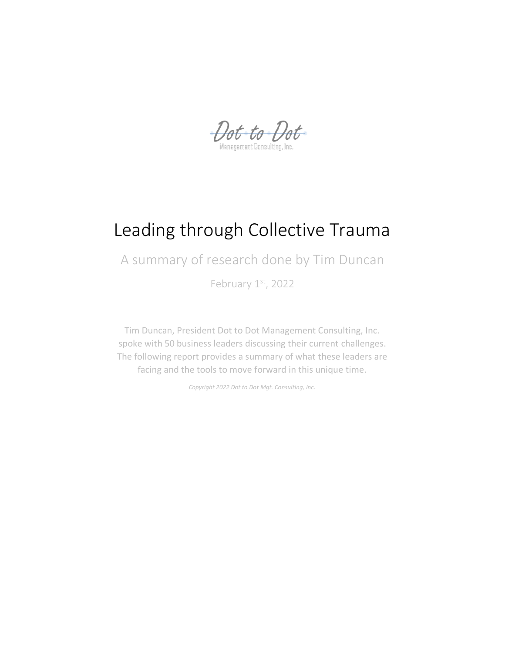Dot to Dot

# Leading through Collective Trauma

A summary of research done by Tim Duncan

February 1st, 2022

Tim Duncan, President Dot to Dot Management Consulting, Inc. spoke with 50 business leaders discussing their current challenges. The following report provides a summary of what these leaders are facing and the tools to move forward in this unique time.

*Copyright 2022 Dot to Dot Mgt. Consulting, Inc.*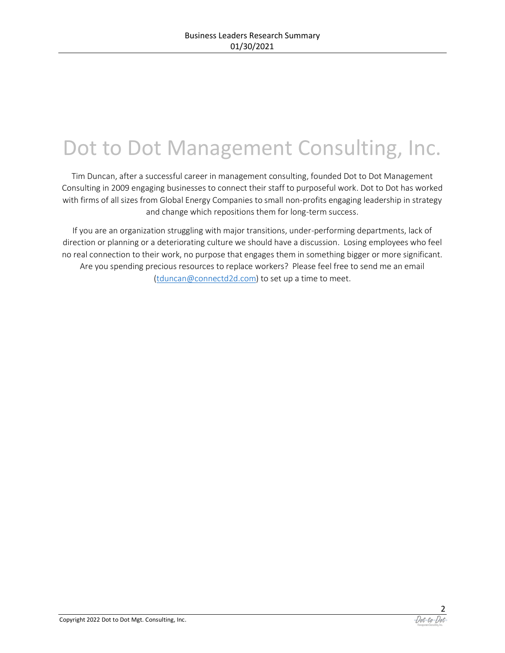# Dot to Dot Management Consulting, Inc.

Tim Duncan, after a successful career in management consulting, founded Dot to Dot Management Consulting in 2009 engaging businesses to connect their staff to purposeful work. Dot to Dot has worked with firms of all sizes from Global Energy Companies to small non-profits engaging leadership in strategy and change which repositions them for long-term success.

If you are an organization struggling with major transitions, under-performing departments, lack of direction or planning or a deteriorating culture we should have a discussion. Losing employees who feel no real connection to their work, no purpose that engages them in something bigger or more significant. Are you spending precious resources to replace workers? Please feel free to send me an email [\(tduncan@connectd2d.com\)](mailto:tduncan@connectd2d.com) to set up a time to meet.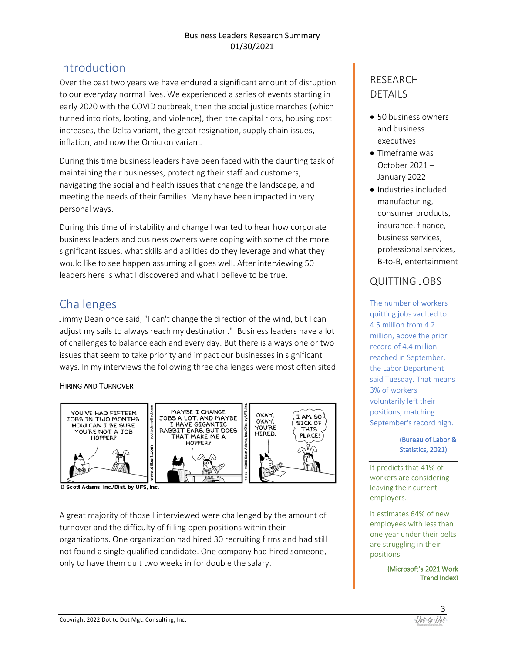### **Introduction**

Over the past two years we have endured a significant amount of disruption to our everyday normal lives. We experienced a series of events starting in early 2020 with the COVID outbreak, then the social justice marches (which turned into riots, looting, and violence), then the capital riots, housing cost increases, the Delta variant, the great resignation, supply chain issues, inflation, and now the Omicron variant.

During this time business leaders have been faced with the daunting task of maintaining their businesses, protecting their staff and customers, navigating the social and health issues that change the landscape, and meeting the needs of their families. Many have been impacted in very personal ways.

During this time of instability and change I wanted to hear how corporate business leaders and business owners were coping with some of the more significant issues, what skills and abilities do they leverage and what they would like to see happen assuming all goes well. After interviewing 50 leaders here is what I discovered and what I believe to be true.

### Challenges

Jimmy Dean once said, "I can't change the direction of the wind, but I can adjust my sails to always reach my destination." Business leaders have a lot of challenges to balance each and every day. But there is always one or two issues that seem to take priority and impact our businesses in significant ways. In my interviews the following three challenges were most often sited.

#### HIRING AND TURNOVER



© Scott Adams, Inc./Dist. by UFS, Inc.

A great majority of those I interviewed were challenged by the amount of turnover and the difficulty of filling open positions within their organizations. One organization had hired 30 recruiting firms and had still not found a single qualified candidate. One company had hired someone, only to have them quit two weeks in for double the salary.

### RESEARCH DETAILS

- 50 business owners and business executives
- Timeframe was October 2021 – January 2022
- Industries included manufacturing, consumer products, insurance, finance, business services, professional services, B-to-B, entertainment

### QUITTING JOBS

The number of workers quitting jobs vaulted to 4.5 million from 4.2 million, above the prior record of 4.4 million reached in September, the Labor Department said Tuesday. That means 3% of workers voluntarily left their positions, matching September's record high.

#### (Bureau of Labor & Statistics, 2021)

It predicts that 41% of workers are considering leaving their current employers.

It estimates 64% of new employees with less than one year under their belts are struggling in their positions.

> (Microsoft's 2021 Work Trend Index)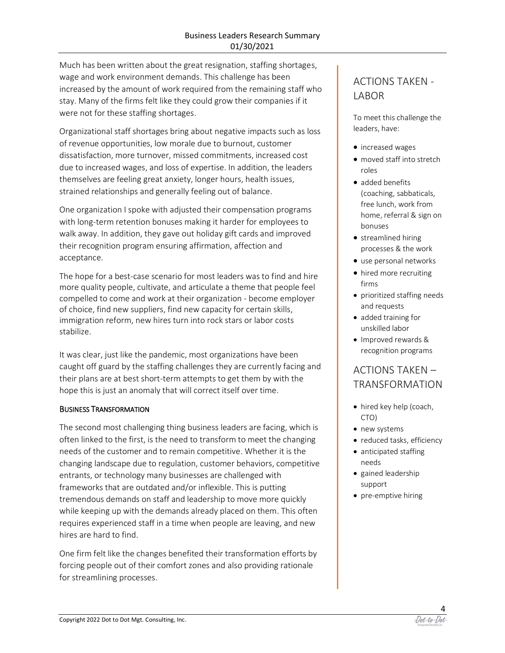Much has been written about the great resignation, staffing shortages, wage and work environment demands. This challenge has been increased by the amount of work required from the remaining staff who stay. Many of the firms felt like they could grow their companies if it were not for these staffing shortages.

Organizational staff shortages bring about negative impacts such as loss of revenue opportunities, low morale due to burnout, customer dissatisfaction, more turnover, missed commitments, increased cost due to increased wages, and loss of expertise. In addition, the leaders themselves are feeling great anxiety, longer hours, health issues, strained relationships and generally feeling out of balance.

One organization I spoke with adjusted their compensation programs with long-term retention bonuses making it harder for employees to walk away. In addition, they gave out holiday gift cards and improved their recognition program ensuring affirmation, affection and acceptance.

The hope for a best-case scenario for most leaders was to find and hire more quality people, cultivate, and articulate a theme that people feel compelled to come and work at their organization - become employer of choice, find new suppliers, find new capacity for certain skills, immigration reform, new hires turn into rock stars or labor costs stabilize.

It was clear, just like the pandemic, most organizations have been caught off guard by the staffing challenges they are currently facing and their plans are at best short-term attempts to get them by with the hope this is just an anomaly that will correct itself over time.

#### BUSINESS TRANSFORMATION

The second most challenging thing business leaders are facing, which is often linked to the first, is the need to transform to meet the changing needs of the customer and to remain competitive. Whether it is the changing landscape due to regulation, customer behaviors, competitive entrants, or technology many businesses are challenged with frameworks that are outdated and/or inflexible. This is putting tremendous demands on staff and leadership to move more quickly while keeping up with the demands already placed on them. This often requires experienced staff in a time when people are leaving, and new hires are hard to find.

One firm felt like the changes benefited their transformation efforts by forcing people out of their comfort zones and also providing rationale for streamlining processes.

### ACTIONS TAKEN - **LABOR**

To meet this challenge the leaders, have:

- increased wages
- moved staff into stretch roles
- added benefits (coaching, sabbaticals, free lunch, work from home, referral & sign on bonuses
- streamlined hiring processes & the work
- use personal networks
- hired more recruiting firms
- prioritized staffing needs and requests
- added training for unskilled labor
- Improved rewards & recognition programs

### ACTIONS TAKEN – TRANSFORMATION

- hired key help (coach, CTO)
- new systems
- reduced tasks, efficiency
- anticipated staffing needs
- gained leadership support
- pre-emptive hiring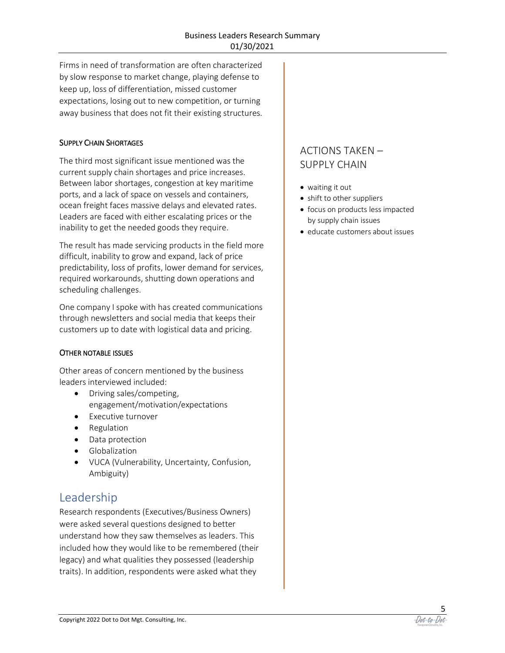Firms in need of transformation are often characterized by slow response to market change, playing defense to keep up, loss of differentiation, missed customer expectations, losing out to new competition, or turning away business that does not fit their existing structures.

#### SUPPLY CHAIN SHORTAGES

The third most significant issue mentioned was the current supply chain shortages and price increases. Between labor shortages, congestion at key maritime ports, and a lack of space on vessels and containers, ocean freight faces massive delays and elevated rates. Leaders are faced with either escalating prices or the inability to get the needed goods they require.

The result has made servicing products in the field more difficult, inability to grow and expand, lack of price predictability, loss of profits, lower demand for services, required workarounds, shutting down operations and scheduling challenges.

One company I spoke with has created communications through newsletters and social media that keeps their customers up to date with logistical data and pricing.

#### OTHER NOTABLE ISSUES

Other areas of concern mentioned by the business leaders interviewed included:

- Driving sales/competing, engagement/motivation/expectations
- Executive turnover
- Regulation
- Data protection
- Globalization
- VUCA (Vulnerability, Uncertainty, Confusion, Ambiguity)

### Leadership

Research respondents (Executives/Business Owners) were asked several questions designed to better understand how they saw themselves as leaders. This included how they would like to be remembered (their legacy) and what qualities they possessed (leadership traits). In addition, respondents were asked what they

### ACTIONS TAKEN – SUPPLY CHAIN

- waiting it out
- shift to other suppliers
- focus on products less impacted by supply chain issues
- educate customers about issues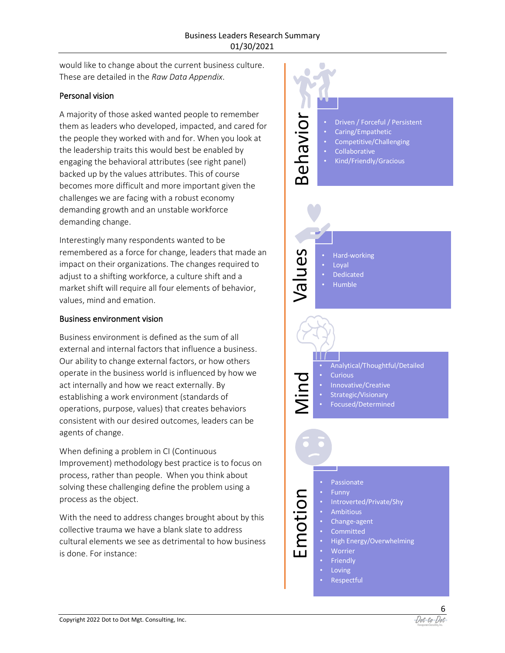would like to change about the current business culture. These are detailed in the *Raw Data Appendix*.

#### Personal vision

A majority of those asked wanted people to remember them as leaders who developed, impacted, and cared for the people they worked with and for. When you look at the leadership traits this would best be enabled by engaging the behavioral attributes (see right panel) backed up by the values attributes. This of course becomes more difficult and more important given the challenges we are facing with a robust economy demanding growth and an unstable workforce demanding change.

Interestingly many respondents wanted to be remembered as a force for change, leaders that made an impact on their organizations. The changes required to adjust to a shifting workforce, a culture shift and a market shift will require all four elements of behavior, values, mind and emation.

#### Business environment vision

Business environment is defined as the sum of all external and internal factors that influence a business. Our ability to change external factors, or how others operate in the business world is influenced by how we act internally and how we react externally. By establishing a work environment (standards of operations, purpose, values) that creates behaviors consistent with our desired outcomes, leaders can be agents of change.

When defining a problem in CI (Continuous Improvement) methodology best practice is to focus on process, rather than people. When you think about solving these challenging define the problem using a process as the object.

With the need to address changes brought about by this collective trauma we have a blank slate to address cultural elements we see as detrimental to how business is done. For instance:

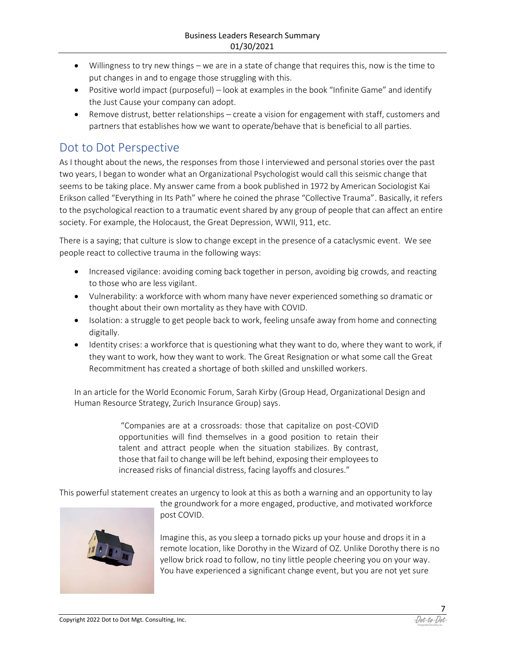- Willingness to try new things we are in a state of change that requires this, now is the time to put changes in and to engage those struggling with this.
- Positive world impact (purposeful) look at examples in the book "Infinite Game" and identify the Just Cause your company can adopt.
- Remove distrust, better relationships create a vision for engagement with staff, customers and partners that establishes how we want to operate/behave that is beneficial to all parties.

### Dot to Dot Perspective

As I thought about the news, the responses from those I interviewed and personal stories over the past two years, I began to wonder what an Organizational Psychologist would call this seismic change that seems to be taking place. My answer came from a book published in 1972 by American Sociologist Kai Erikson called "Everything in Its Path" where he coined the phrase "Collective Trauma". Basically, it refers to the psychological reaction to a traumatic event shared by any group of people that can affect an entire society. For example, the Holocaust, the Great Depression, WWII, 911, etc.

There is a saying; that culture is slow to change except in the presence of a cataclysmic event. We see people react to collective trauma in the following ways:

- Increased vigilance: avoiding coming back together in person, avoiding big crowds, and reacting to those who are less vigilant.
- Vulnerability: a workforce with whom many have never experienced something so dramatic or thought about their own mortality as they have with COVID.
- Isolation: a struggle to get people back to work, feeling unsafe away from home and connecting digitally.
- Identity crises: a workforce that is questioning what they want to do, where they want to work, if they want to work, how they want to work. The Great Resignation or what some call the Great Recommitment has created a shortage of both skilled and unskilled workers.

In an article for the World Economic Forum, Sarah Kirby (Group Head, Organizational Design and Human Resource Strategy, Zurich Insurance Group) says.

> "Companies are at a crossroads: those that capitalize on post-COVID opportunities will find themselves in a good position to retain their talent and attract people when the situation stabilizes. By contrast, those that fail to change will be left behind, exposing their employees to increased risks of financial distress, facing layoffs and closures."

This powerful statement creates an urgency to look at this as both a warning and an opportunity to lay



the groundwork for a more engaged, productive, and motivated workforce post COVID.

Imagine this, as you sleep a tornado picks up your house and drops it in a remote location, like Dorothy in the Wizard of OZ. Unlike Dorothy there is no yellow brick road to follow, no tiny little people cheering you on your way. You have experienced a significant change event, but you are not yet sure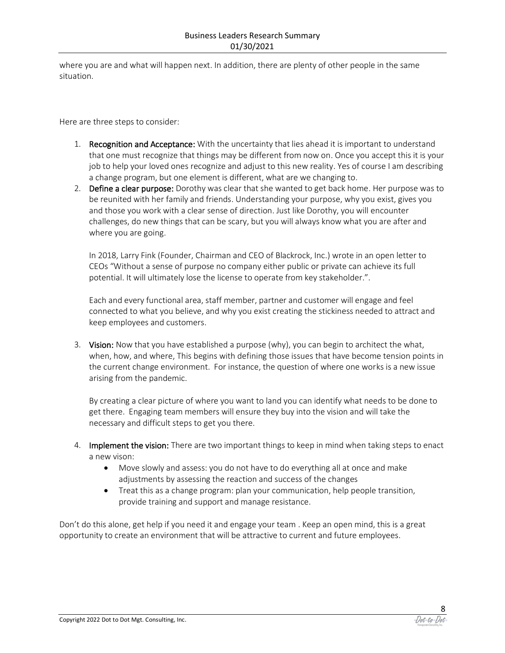where you are and what will happen next. In addition, there are plenty of other people in the same situation.

Here are three steps to consider:

- 1. Recognition and Acceptance: With the uncertainty that lies ahead it is important to understand that one must recognize that things may be different from now on. Once you accept this it is your job to help your loved ones recognize and adjust to this new reality. Yes of course I am describing a change program, but one element is different, what are we changing to.
- 2. Define a clear purpose: Dorothy was clear that she wanted to get back home. Her purpose was to be reunited with her family and friends. Understanding your purpose, why you exist, gives you and those you work with a clear sense of direction. Just like Dorothy, you will encounter challenges, do new things that can be scary, but you will always know what you are after and where you are going.

In 2018, Larry Fink (Founder, Chairman and CEO of Blackrock, Inc.) wrote in an open letter to CEOs "Without a sense of purpose no company either public or private can achieve its full potential. It will ultimately lose the license to operate from key stakeholder.".

Each and every functional area, staff member, partner and customer will engage and feel connected to what you believe, and why you exist creating the stickiness needed to attract and keep employees and customers.

3. Vision: Now that you have established a purpose (why), you can begin to architect the what, when, how, and where, This begins with defining those issues that have become tension points in the current change environment. For instance, the question of where one works is a new issue arising from the pandemic.

By creating a clear picture of where you want to land you can identify what needs to be done to get there. Engaging team members will ensure they buy into the vision and will take the necessary and difficult steps to get you there.

- 4. Implement the vision: There are two important things to keep in mind when taking steps to enact a new vison:
	- Move slowly and assess: you do not have to do everything all at once and make adjustments by assessing the reaction and success of the changes
	- Treat this as a change program: plan your communication, help people transition, provide training and support and manage resistance.

Don't do this alone, get help if you need it and engage your team . Keep an open mind, this is a great opportunity to create an environment that will be attractive to current and future employees.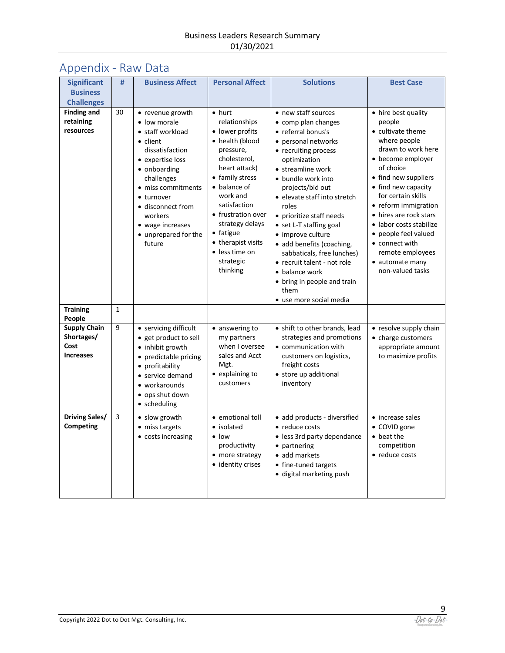## Appendix - Raw Data

| <b>Significant</b>                                            | #            | <b>Business Affect</b>                                                                                                                                                                                                                                          | <b>Personal Affect</b>                                                                                                                                                                                                                                                                                            | <b>Solutions</b>                                                                                                                                                                                                                                                                                                                                                                                                                                                                                  | <b>Best Case</b>                                                                                                                                                                                                                                                                                                                                                                  |
|---------------------------------------------------------------|--------------|-----------------------------------------------------------------------------------------------------------------------------------------------------------------------------------------------------------------------------------------------------------------|-------------------------------------------------------------------------------------------------------------------------------------------------------------------------------------------------------------------------------------------------------------------------------------------------------------------|---------------------------------------------------------------------------------------------------------------------------------------------------------------------------------------------------------------------------------------------------------------------------------------------------------------------------------------------------------------------------------------------------------------------------------------------------------------------------------------------------|-----------------------------------------------------------------------------------------------------------------------------------------------------------------------------------------------------------------------------------------------------------------------------------------------------------------------------------------------------------------------------------|
| <b>Business</b>                                               |              |                                                                                                                                                                                                                                                                 |                                                                                                                                                                                                                                                                                                                   |                                                                                                                                                                                                                                                                                                                                                                                                                                                                                                   |                                                                                                                                                                                                                                                                                                                                                                                   |
| <b>Challenges</b>                                             |              |                                                                                                                                                                                                                                                                 |                                                                                                                                                                                                                                                                                                                   |                                                                                                                                                                                                                                                                                                                                                                                                                                                                                                   |                                                                                                                                                                                                                                                                                                                                                                                   |
| <b>Finding and</b><br>retaining<br>resources                  | 30           | • revenue growth<br>• low morale<br>• staff workload<br>• client<br>dissatisfaction<br>• expertise loss<br>• onboarding<br>challenges<br>• miss commitments<br>• turnover<br>• disconnect from<br>workers<br>• wage increases<br>• unprepared for the<br>future | $\bullet$ hurt<br>relationships<br>• lower profits<br>• health (blood<br>pressure,<br>cholesterol,<br>heart attack)<br>• family stress<br>• balance of<br>work and<br>satisfaction<br>• frustration over<br>strategy delays<br>$\bullet$ fatigue<br>• therapist visits<br>• less time on<br>strategic<br>thinking | • new staff sources<br>• comp plan changes<br>• referral bonus's<br>• personal networks<br>• recruiting process<br>optimization<br>• streamline work<br>• bundle work into<br>projects/bid out<br>• elevate staff into stretch<br>roles<br>• prioritize staff needs<br>• set L-T staffing goal<br>• improve culture<br>• add benefits (coaching,<br>sabbaticals, free lunches)<br>• recruit talent - not role<br>• balance work<br>• bring in people and train<br>them<br>• use more social media | • hire best quality<br>people<br>• cultivate theme<br>where people<br>drawn to work here<br>• become employer<br>of choice<br>• find new suppliers<br>• find new capacity<br>for certain skills<br>• reform immigration<br>• hires are rock stars<br>• labor costs stabilize<br>• people feel valued<br>• connect with<br>remote employees<br>• automate many<br>non-valued tasks |
| <b>Training</b><br>People                                     | $\mathbf{1}$ |                                                                                                                                                                                                                                                                 |                                                                                                                                                                                                                                                                                                                   |                                                                                                                                                                                                                                                                                                                                                                                                                                                                                                   |                                                                                                                                                                                                                                                                                                                                                                                   |
| <b>Supply Chain</b><br>Shortages/<br>Cost<br><b>Increases</b> | 9            | • servicing difficult<br>• get product to sell<br>• inhibit growth<br>• predictable pricing<br>• profitability<br>• service demand<br>• workarounds<br>• ops shut down<br>· scheduling                                                                          | • answering to<br>my partners<br>when I oversee<br>sales and Acct<br>Mgt.<br>• explaining to<br>customers                                                                                                                                                                                                         | • shift to other brands, lead<br>strategies and promotions<br>• communication with<br>customers on logistics,<br>freight costs<br>• store up additional<br>inventory                                                                                                                                                                                                                                                                                                                              | • resolve supply chain<br>• charge customers<br>appropriate amount<br>to maximize profits                                                                                                                                                                                                                                                                                         |
| <b>Driving Sales/</b><br><b>Competing</b>                     | 3            | • slow growth<br>• miss targets<br>• costs increasing                                                                                                                                                                                                           | • emotional toll<br>• isolated<br>$\bullet$ low<br>productivity<br>• more strategy<br>· identity crises                                                                                                                                                                                                           | · add products - diversified<br>• reduce costs<br>• less 3rd party dependance<br>• partnering<br>• add markets<br>• fine-tuned targets<br>· digital marketing push                                                                                                                                                                                                                                                                                                                                | • increase sales<br>• COVID gone<br>$\bullet$ beat the<br>competition<br>• reduce costs                                                                                                                                                                                                                                                                                           |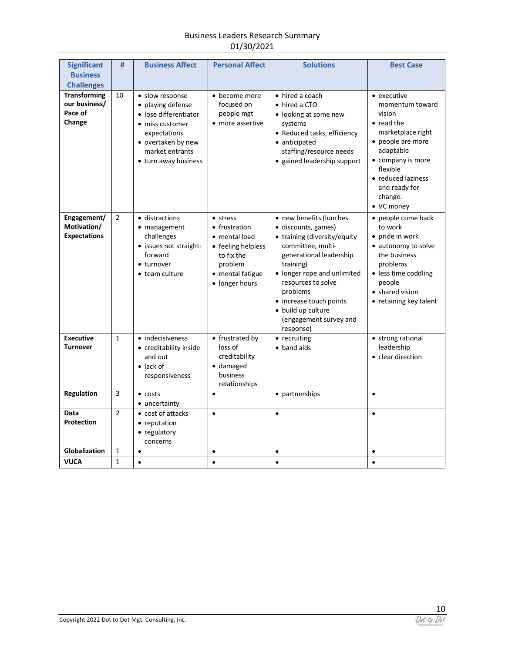#### Business Leaders Research Summary 01/30/2021

| <b>Significant</b>                                        | #              | <b>Business Affect</b>                                                                                                                                            | <b>Personal Affect</b>                                                                                                          | <b>Solutions</b>                                                                                                                                                                                                                                                                                     | <b>Best Case</b>                                                                                                                                                                                                       |
|-----------------------------------------------------------|----------------|-------------------------------------------------------------------------------------------------------------------------------------------------------------------|---------------------------------------------------------------------------------------------------------------------------------|------------------------------------------------------------------------------------------------------------------------------------------------------------------------------------------------------------------------------------------------------------------------------------------------------|------------------------------------------------------------------------------------------------------------------------------------------------------------------------------------------------------------------------|
| <b>Business</b><br><b>Challenges</b>                      |                |                                                                                                                                                                   |                                                                                                                                 |                                                                                                                                                                                                                                                                                                      |                                                                                                                                                                                                                        |
| <b>Transforming</b><br>our business/<br>Pace of<br>Change | 10             | · slow response<br>• playing defense<br>• lose differentiator<br>• miss customer<br>expectations<br>• overtaken by new<br>market entrants<br>• turn away business | • become more<br>focused on<br>people mgt<br>• more assertive                                                                   | • hired a coach<br>• hired a CTO<br>• looking at some new<br>systems<br>• Reduced tasks, efficiency<br>• anticipated<br>staffing/resource needs<br>· gained leadership support                                                                                                                       | • executive<br>momentum toward<br>vision<br>$\bullet$ read the<br>marketplace right<br>• people are more<br>adaptable<br>• company is more<br>flexible<br>• reduced laziness<br>and ready for<br>change.<br>• VC money |
| Engagement/<br>Motivation/<br><b>Expectations</b>         | $\overline{2}$ | · distractions<br>• management<br>challenges<br>• issues not straight-<br>forward<br>• turnover<br>• team culture                                                 | • stress<br>• frustration<br>• mental load<br>• feeling helpless<br>to fix the<br>problem<br>• mental fatigue<br>· longer hours | • new benefits (lunches<br>· discounts, games)<br>• training (diversity/equity<br>committee, multi-<br>generational leadership<br>training)<br>• longer rope and unlimited<br>resources to solve<br>problems<br>• increase touch points<br>· build up culture<br>(engagement survey and<br>response) | • people come back<br>to work<br>• pride in work<br>• autonomy to solve<br>the business<br>problems<br>• less time coddling<br>people<br>• shared vision<br>• retaining key talent                                     |
| <b>Executive</b><br><b>Turnover</b>                       | $\mathbf{1}$   | • indecisiveness<br>• creditability inside<br>and out<br>$\bullet$ lack of<br>responsiveness                                                                      | • frustrated by<br>loss of<br>creditability<br>· damaged<br>business<br>relationships                                           | • recruiting<br>• band aids                                                                                                                                                                                                                                                                          | • strong rational<br>leadership<br>• clear direction                                                                                                                                                                   |
| Regulation                                                | 3              | $\bullet$ costs<br>• uncertainty                                                                                                                                  | $\bullet$                                                                                                                       | • partnerships                                                                                                                                                                                                                                                                                       | $\bullet$                                                                                                                                                                                                              |
| Data<br>Protection                                        | $\overline{2}$ | • cost of attacks<br>• reputation<br>• regulatory<br>concerns                                                                                                     | $\bullet$                                                                                                                       | $\bullet$                                                                                                                                                                                                                                                                                            | $\bullet$                                                                                                                                                                                                              |
| Globalization                                             | $\mathbf{1}$   | $\bullet$                                                                                                                                                         | $\bullet$                                                                                                                       | $\bullet$                                                                                                                                                                                                                                                                                            | $\bullet$                                                                                                                                                                                                              |
| <b>VUCA</b>                                               | $\mathbf{1}$   | $\bullet$                                                                                                                                                         | $\bullet$                                                                                                                       | $\bullet$                                                                                                                                                                                                                                                                                            | $\bullet$                                                                                                                                                                                                              |